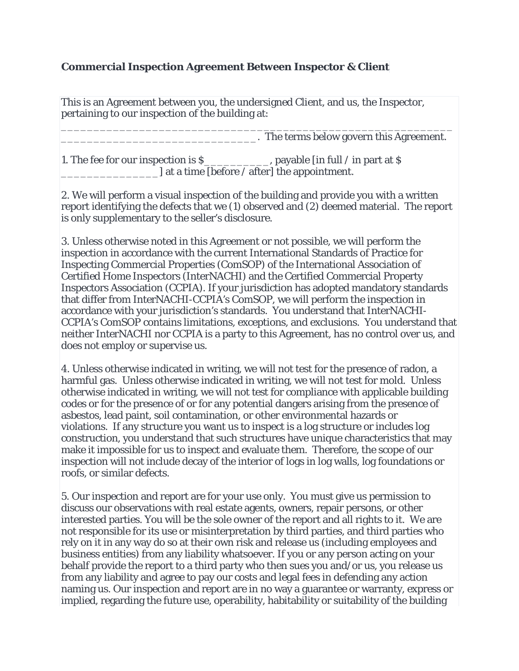#### **Commercial Inspection Agreement Between Inspector & Client**

This is an Agreement between you, the undersigned Client, and us, the Inspector, pertaining to our inspection of the building at:

\_\_\_\_\_\_\_\_\_\_\_\_\_\_\_\_\_\_\_\_\_\_\_\_\_\_\_\_\_\_\_\_\_\_\_\_\_\_\_\_\_\_\_\_\_\_\_\_\_\_\_\_\_\_\_\_\_\_\_\_ \_\_\_\_\_\_\_\_\_\_\_\_\_\_\_\_\_\_\_\_\_\_\_\_\_\_\_\_\_\_. The terms below govern this Agreement.

1. The fee for our inspection is  ${\cal S}$  \_\_\_\_\_\_\_\_\_\_, payable [in full / in part at  ${\cal S}$ \_\_\_\_\_\_\_\_\_\_\_\_\_\_\_] at a time [before / after] the appointment.

2. We will perform a visual inspection of the building and provide you with a written report identifying the defects that we (1) observed and (2) deemed material. The report is only supplementary to the seller's disclosure.

3. Unless otherwise noted in this Agreement or not possible, we will perform the inspection in accordance with the current International Standards of Practice for Inspecting Commercial Properties (ComSOP) of the International Association of Certified Home Inspectors (InterNACHI) and the Certified Commercial Property Inspectors Association (CCPIA). If your jurisdiction has adopted mandatory standards that differ from InterNACHI-CCPIA's ComSOP, we will perform the inspection in accordance with your jurisdiction's standards. You understand that InterNACHI-CCPIA's ComSOP contains limitations, exceptions, and exclusions. You understand that neither InterNACHI nor CCPIA is a party to this Agreement, has no control over us, and does not employ or supervise us.

4. Unless otherwise indicated in writing, we will not test for the presence of radon, a harmful gas. Unless otherwise indicated in writing, we will not test for mold. Unless otherwise indicated in writing, we will not test for compliance with applicable building codes or for the presence of or for any potential dangers arising from the presence of asbestos, lead paint, soil contamination, or other environmental hazards or violations. If any structure you want us to inspect is a log structure or includes log construction, you understand that such structures have unique characteristics that may make it impossible for us to inspect and evaluate them. Therefore, the scope of our inspection will not include decay of the interior of logs in log walls, log foundations or roofs, or similar defects.

5. Our inspection and report are for your use only. You must give us permission to discuss our observations with real estate agents, owners, repair persons, or other interested parties. You will be the sole owner of the report and all rights to it. We are not responsible for its use or misinterpretation by third parties, and third parties who rely on it in any way do so at their own risk and release us (including employees and business entities) from any liability whatsoever. If you or any person acting on your behalf provide the report to a third party who then sues you and/or us, you release us from any liability and agree to pay our costs and legal fees in defending any action naming us. Our inspection and report are in no way a guarantee or warranty, express or implied, regarding the future use, operability, habitability or suitability of the building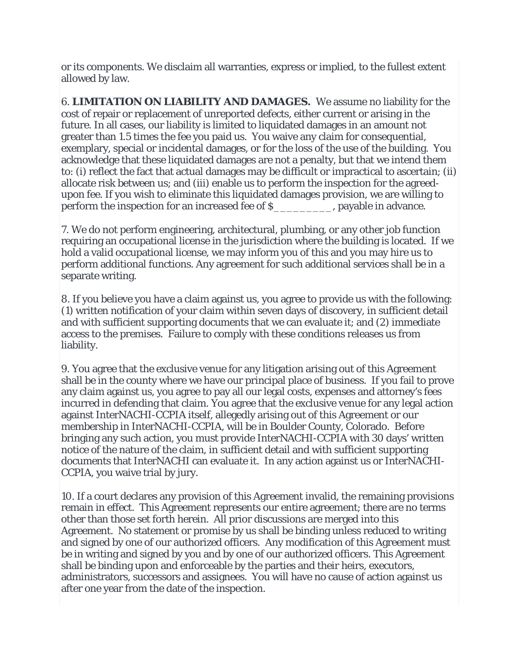or its components. We disclaim all warranties, express or implied, to the fullest extent allowed by law.

6. **LIMITATION ON LIABILITY AND DAMAGES.** We assume no liability for the cost of repair or replacement of unreported defects, either current or arising in the future. In all cases, our liability is limited to liquidated damages in an amount not greater than 1.5 times the fee you paid us. You waive any claim for consequential, exemplary, special or incidental damages, or for the loss of the use of the building. You acknowledge that these liquidated damages are not a penalty, but that we intend them to: (i) reflect the fact that actual damages may be difficult or impractical to ascertain; (ii) allocate risk between us; and (iii) enable us to perform the inspection for the agreedupon fee. If you wish to eliminate this liquidated damages provision, we are willing to perform the inspection for an increased fee of \$\_\_\_\_\_\_\_\_\_, payable in advance.

7. We do not perform engineering, architectural, plumbing, or any other job function requiring an occupational license in the jurisdiction where the building is located. If we hold a valid occupational license, we may inform you of this and you may hire us to perform additional functions. Any agreement for such additional services shall be in a separate writing.

8. If you believe you have a claim against us, you agree to provide us with the following: (1) written notification of your claim within seven days of discovery, in sufficient detail and with sufficient supporting documents that we can evaluate it; and (2) immediate access to the premises. Failure to comply with these conditions releases us from liability.

9. You agree that the exclusive venue for any litigation arising out of this Agreement shall be in the county where we have our principal place of business. If you fail to prove any claim against us, you agree to pay all our legal costs, expenses and attorney's fees incurred in defending that claim. You agree that the exclusive venue for any legal action against InterNACHI-CCPIA itself, allegedly arising out of this Agreement or our membership in InterNACHI-CCPIA, will be in Boulder County, Colorado. Before bringing any such action, you must provide InterNACHI-CCPIA with 30 days' written notice of the nature of the claim, in sufficient detail and with sufficient supporting documents that InterNACHI can evaluate it. In any action against us or InterNACHI-CCPIA, you waive trial by jury.

10. If a court declares any provision of this Agreement invalid, the remaining provisions remain in effect. This Agreement represents our entire agreement; there are no terms other than those set forth herein. All prior discussions are merged into this Agreement. No statement or promise by us shall be binding unless reduced to writing and signed by one of our authorized officers. Any modification of this Agreement must be in writing and signed by you and by one of our authorized officers. This Agreement shall be binding upon and enforceable by the parties and their heirs, executors, administrators, successors and assignees. You will have no cause of action against us after one year from the date of the inspection.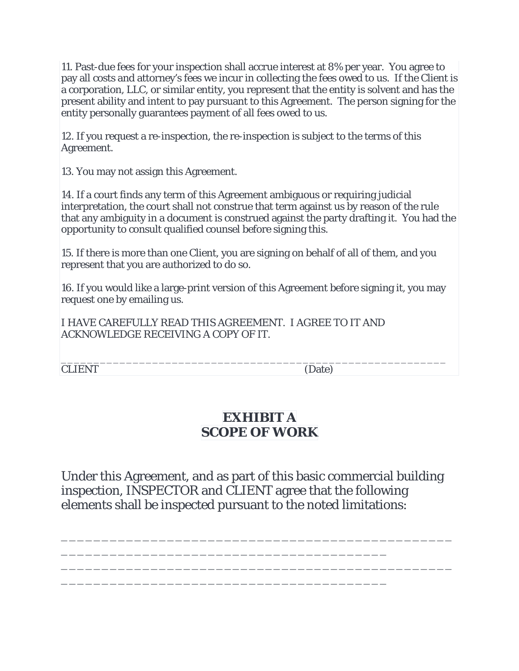11. Past-due fees for your inspection shall accrue interest at 8% per year. You agree to pay all costs and attorney's fees we incur in collecting the fees owed to us. If the Client is a corporation, LLC, or similar entity, you represent that the entity is solvent and has the present ability and intent to pay pursuant to this Agreement. The person signing for the entity personally guarantees payment of all fees owed to us.

12. If you request a re-inspection, the re-inspection is subject to the terms of this Agreement.

13. You may not assign this Agreement.

14. If a court finds any term of this Agreement ambiguous or requiring judicial interpretation, the court shall not construe that term against us by reason of the rule that any ambiguity in a document is construed against the party drafting it. You had the opportunity to consult qualified counsel before signing this.

15. If there is more than one Client, you are signing on behalf of all of them, and you represent that you are authorized to do so.

16. If you would like a large-print version of this Agreement before signing it, you may request one by emailing us.

I HAVE CAREFULLY READ THIS AGREEMENT. I AGREE TO IT AND ACKNOWLEDGE RECEIVING A COPY OF IT.

\_\_\_\_\_\_\_\_\_\_\_\_\_\_\_\_\_\_\_\_\_\_\_\_\_\_\_\_\_\_\_\_\_\_\_\_\_\_\_\_\_\_\_\_\_\_\_\_\_\_\_\_\_\_\_\_\_\_\_ CLIENT (Date)

# **EXHIBIT A SCOPE OF WORK**

Under this Agreement, and as part of this basic commercial building inspection, INSPECTOR and CLIENT agree that the following elements shall be inspected pursuant to the noted limitations:

\_\_\_\_\_\_\_\_\_\_\_\_\_\_\_\_\_\_\_\_\_\_\_\_\_\_\_\_\_\_\_\_\_\_\_\_\_\_\_\_\_\_\_\_\_\_\_\_

\_\_\_\_\_\_\_\_\_\_\_\_\_\_\_\_\_\_\_\_\_\_\_\_\_\_\_\_\_\_\_\_\_\_\_\_\_\_\_\_\_\_\_\_\_\_\_\_

\_\_\_\_\_\_\_\_\_\_\_\_\_\_\_\_\_\_\_\_\_\_\_\_\_\_\_\_\_\_\_\_\_\_\_\_\_\_\_\_

\_\_\_\_\_\_\_\_\_\_\_\_\_\_\_\_\_\_\_\_\_\_\_\_\_\_\_\_\_\_\_\_\_\_\_\_\_\_\_\_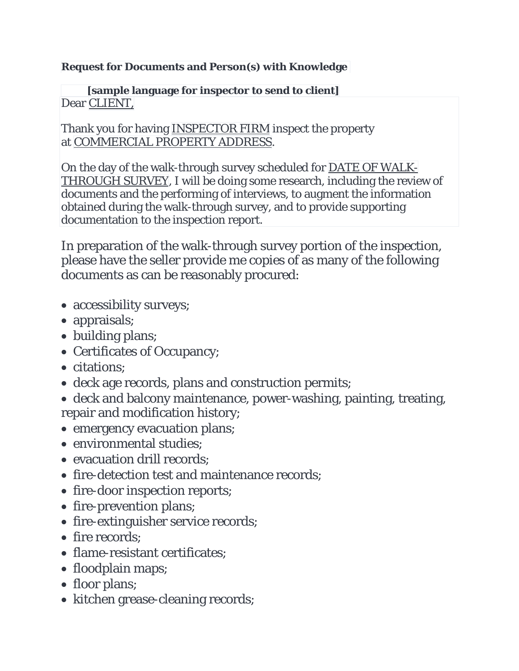# **Request for Documents and Person(s) with Knowledge**

## **[sample language for inspector to send to client]** Dear CLIENT,

Thank you for having INSPECTOR FIRM inspect the property at COMMERCIAL PROPERTY ADDRESS.

On the day of the walk-through survey scheduled for DATE OF WALK-THROUGH SURVEY, I will be doing some research, including the review of documents and the performing of interviews, to augment the information obtained during the walk-through survey, and to provide supporting documentation to the inspection report.

In preparation of the walk-through survey portion of the inspection, please have the seller provide me copies of as many of the following documents as can be reasonably procured:

- accessibility surveys;
- appraisals;
- building plans;
- Certificates of Occupancy;
- citations;
- deck age records, plans and construction permits;
- deck and balcony maintenance, power-washing, painting, treating, repair and modification history;
- emergency evacuation plans:
- environmental studies;
- evacuation drill records:
- fire-detection test and maintenance records;
- fire-door inspection reports;
- fire-prevention plans;
- fire-extinguisher service records;
- fire records:
- flame-resistant certificates:
- floodplain maps;
- floor plans;
- kitchen grease-cleaning records;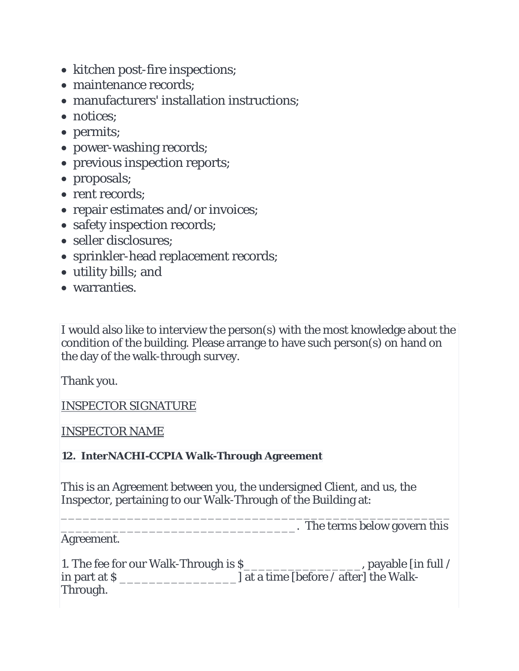- kitchen post-fire inspections;
- maintenance records;
- manufacturers' installation instructions:
- notices:
- permits;
- power-washing records;
- previous inspection reports;
- proposals;
- rent records:
- repair estimates and/or invoices;
- safety inspection records;
- seller disclosures:
- sprinkler-head replacement records;
- utility bills; and
- warranties.

I would also like to interview the person(s) with the most knowledge about the condition of the building. Please arrange to have such person(s) on hand on the day of the walk-through survey.

Thank you.

INSPECTOR SIGNATURE

INSPECTOR NAME

## **12. InterNACHI-CCPIA Walk-Through Agreement**

This is an Agreement between you, the undersigned Client, and us, the Inspector, pertaining to our Walk-Through of the Building at:

\_\_\_\_\_\_\_\_\_\_\_\_\_\_\_\_\_\_\_\_\_\_\_\_\_\_\_\_\_\_\_\_\_\_\_\_\_\_\_\_\_\_\_\_\_\_\_\_\_\_\_\_\_ \_\_\_\_\_\_\_\_\_\_\_\_\_\_\_\_\_\_\_\_\_\_\_\_\_\_\_\_\_\_\_\_. The terms below govern this

Agreement.

| 1. The fee for our Walk-Through is \$ | , payable [in full /                        |
|---------------------------------------|---------------------------------------------|
| in part at S                          | $\Box$ at a time [before / after] the Walk- |
| Through.                              |                                             |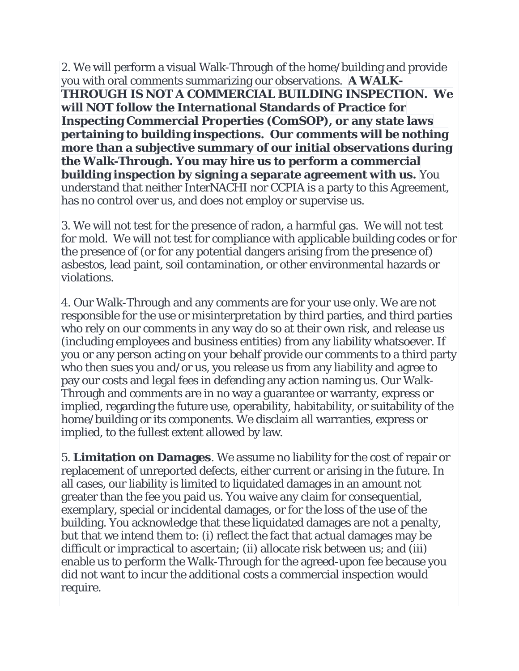2. We will perform a visual Walk-Through of the home/building and provide you with oral comments summarizing our observations. **A WALK-THROUGH IS NOT A COMMERCIAL BUILDING INSPECTION. We will NOT follow the International Standards of Practice for Inspecting Commercial Properties (ComSOP), or any state laws pertaining to building inspections. Our comments will be nothing more than a subjective summary of our initial observations during the Walk-Through. You may hire us to perform a commercial building inspection by signing a separate agreement with us.** You understand that neither InterNACHI nor CCPIA is a party to this Agreement, has no control over us, and does not employ or supervise us.

3. We will not test for the presence of radon, a harmful gas. We will not test for mold. We will not test for compliance with applicable building codes or for the presence of (or for any potential dangers arising from the presence of) asbestos, lead paint, soil contamination, or other environmental hazards or violations.

4. Our Walk-Through and any comments are for your use only. We are not responsible for the use or misinterpretation by third parties, and third parties who rely on our comments in any way do so at their own risk, and release us (including employees and business entities) from any liability whatsoever. If you or any person acting on your behalf provide our comments to a third party who then sues you and/or us, you release us from any liability and agree to pay our costs and legal fees in defending any action naming us. Our Walk-Through and comments are in no way a guarantee or warranty, express or implied, regarding the future use, operability, habitability, or suitability of the home/building or its components. We disclaim all warranties, express or implied, to the fullest extent allowed by law.

5. **Limitation on Damages**. We assume no liability for the cost of repair or replacement of unreported defects, either current or arising in the future. In all cases, our liability is limited to liquidated damages in an amount not greater than the fee you paid us. You waive any claim for consequential, exemplary, special or incidental damages, or for the loss of the use of the building. You acknowledge that these liquidated damages are not a penalty, but that we intend them to: (i) reflect the fact that actual damages may be difficult or impractical to ascertain; (ii) allocate risk between us; and (iii) enable us to perform the Walk-Through for the agreed-upon fee because you did not want to incur the additional costs a commercial inspection would require.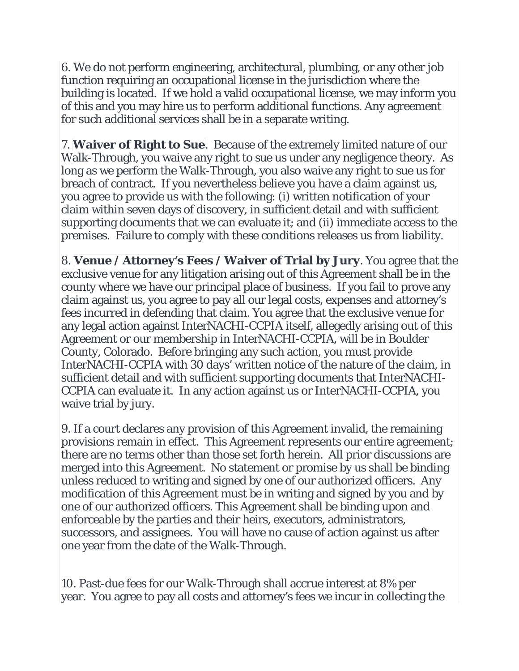6. We do not perform engineering, architectural, plumbing, or any other job function requiring an occupational license in the jurisdiction where the building is located. If we hold a valid occupational license, we may inform you of this and you may hire us to perform additional functions. Any agreement for such additional services shall be in a separate writing.

7. **Waiver of Right to Sue**. Because of the extremely limited nature of our Walk-Through, you waive any right to sue us under any negligence theory. As long as we perform the Walk-Through, you also waive any right to sue us for breach of contract. If you nevertheless believe you have a claim against us, you agree to provide us with the following: (i) written notification of your claim within seven days of discovery, in sufficient detail and with sufficient supporting documents that we can evaluate it; and (ii) immediate access to the premises. Failure to comply with these conditions releases us from liability.

8. **Venue / Attorney's Fees / Waiver of Trial by Jury**. You agree that the exclusive venue for any litigation arising out of this Agreement shall be in the county where we have our principal place of business. If you fail to prove any claim against us, you agree to pay all our legal costs, expenses and attorney's fees incurred in defending that claim. You agree that the exclusive venue for any legal action against InterNACHI-CCPIA itself, allegedly arising out of this Agreement or our membership in InterNACHI-CCPIA, will be in Boulder County, Colorado. Before bringing any such action, you must provide InterNACHI-CCPIA with 30 days' written notice of the nature of the claim, in sufficient detail and with sufficient supporting documents that InterNACHI-CCPIA can evaluate it. In any action against us or InterNACHI-CCPIA, you waive trial by jury.

9. If a court declares any provision of this Agreement invalid, the remaining provisions remain in effect. This Agreement represents our entire agreement; there are no terms other than those set forth herein. All prior discussions are merged into this Agreement. No statement or promise by us shall be binding unless reduced to writing and signed by one of our authorized officers. Any modification of this Agreement must be in writing and signed by you and by one of our authorized officers. This Agreement shall be binding upon and enforceable by the parties and their heirs, executors, administrators, successors, and assignees. You will have no cause of action against us after one year from the date of the Walk-Through.

10. Past-due fees for our Walk-Through shall accrue interest at 8% per year. You agree to pay all costs and attorney's fees we incur in collecting the